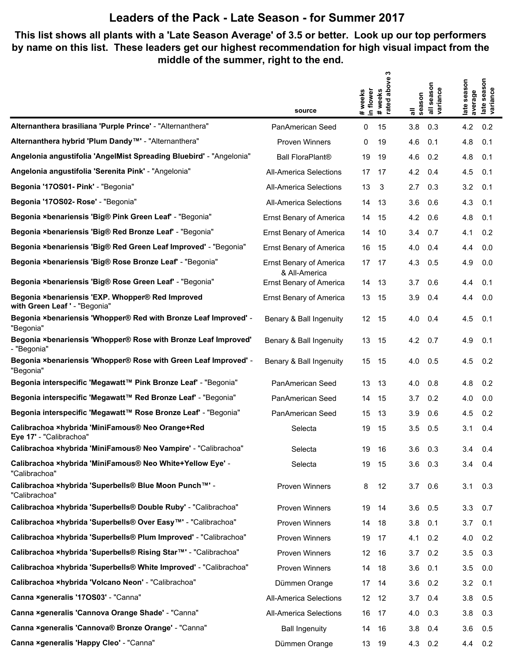#### **This list shows all plants with a 'Late Season Average' of 3.5 or better. Look up our top performers by name on this list. These leaders get our highest recommendation for high visual impact from the middle of the summer, right to the end.**

|                                                                                   |                                                 | ო<br>above                                  |                                                   |                                                   |
|-----------------------------------------------------------------------------------|-------------------------------------------------|---------------------------------------------|---------------------------------------------------|---------------------------------------------------|
|                                                                                   |                                                 | # weeks<br>in flower<br>#weeks<br>rated abo | season<br>all seasor<br>variance<br>all<br>season | late season<br>variance<br>late season<br>average |
|                                                                                   | source                                          |                                             |                                                   |                                                   |
| Alternanthera brasiliana 'Purple Prince' - "Alternanthera"                        | PanAmerican Seed                                | 0<br>15                                     | 3.8<br>0.3                                        | 4.2<br>0.2                                        |
| Alternanthera hybrid 'Plum Dandy <sup>™'</sup> - "Alternanthera"                  | <b>Proven Winners</b>                           | 19<br>0                                     | 4.6<br>0.1                                        | 4.8<br>0.1                                        |
| Angelonia angustifolia 'AngelMist Spreading Bluebird' - "Angelonia"               | <b>Ball FloraPlant®</b>                         | 19<br>19                                    | 0.2<br>4.6                                        | 4.8<br>0.1                                        |
| Angelonia angustifolia 'Serenita Pink' - "Angelonia"                              | <b>All-America Selections</b>                   | 17<br>17                                    | 4.2<br>0.4                                        | 4.5<br>0.1                                        |
| Begonia '17OS01- Pink' - "Begonia"                                                | All-America Selections                          | 13<br>3                                     | 0.3<br>2.7                                        | 3.2<br>0.1                                        |
| Begonia '17OS02- Rose' - "Begonia"                                                | <b>All-America Selections</b>                   | 14<br>13                                    | 0.6<br>3.6                                        | 4.3<br>0.1                                        |
| Begonia ×benariensis 'Big® Pink Green Leaf' - "Begonia"                           | Ernst Benary of America                         | 15<br>14                                    | 0.6<br>4.2                                        | 4.8<br>0.1                                        |
| Begonia ×benariensis 'Big® Red Bronze Leaf' - "Begonia"                           | <b>Ernst Benary of America</b>                  | 14<br>10                                    | 0.7<br>3.4                                        | 0.2<br>4.1                                        |
| Begonia ×benariensis 'Big® Red Green Leaf Improved' - "Begonia"                   | <b>Ernst Benary of America</b>                  | 16<br>15                                    | 0.4<br>4.0                                        | 0.0<br>4.4                                        |
| Begonia ×benariensis 'Big® Rose Bronze Leaf' - "Begonia"                          | <b>Ernst Benary of America</b><br>& All-America | 17<br>-17                                   | 4.3<br>0.5                                        | 4.9<br>0.0                                        |
| Begonia ×benariensis 'Big® Rose Green Leaf' - "Begonia"                           | <b>Ernst Benary of America</b>                  | 13<br>14                                    | 0.6<br>3.7                                        | 0.1<br>4.4                                        |
| Begonia ×benariensis 'EXP. Whopper® Red Improved<br>with Green Leaf ' - "Begonia" | <b>Ernst Benary of America</b>                  | 13<br>15                                    | 0.4<br>3.9                                        | 0.0<br>4.4                                        |
| Begonia ×benariensis 'Whopper® Red with Bronze Leaf Improved' -<br>"Begonia"      | Benary & Ball Ingenuity                         | 12<br>15                                    | 4.0<br>0.4                                        | 4.5<br>0.1                                        |
| Begonia ×benariensis 'Whopper® Rose with Bronze Leaf Improved'<br>- "Begonia"     | Benary & Ball Ingenuity                         | 13<br>15                                    | 4.2<br>0.7                                        | 4.9<br>0.1                                        |
| Begonia ×benariensis 'Whopper® Rose with Green Leaf Improved' -<br>"Begonia"      | Benary & Ball Ingenuity                         | 15<br>15                                    | 4.0<br>0.5                                        | 4.5<br>0.2                                        |
| Begonia interspecific 'Megawatt™ Pink Bronze Leaf' - "Begonia"                    | PanAmerican Seed                                | 13<br>13                                    | 0.8<br>4.0                                        | 4.8<br>0.2                                        |
| Begonia interspecific 'Megawatt™ Red Bronze Leaf' - "Begonia"                     | PanAmerican Seed                                | 15<br>14                                    | 0.2<br>3.7                                        | 0.0<br>4.0                                        |
| Begonia interspecific 'Megawatt™ Rose Bronze Leaf' - "Begonia"                    | PanAmerican Seed                                | 15<br>13                                    | 0.6<br>3.9                                        | 4.5<br>0.2                                        |
| Calibrachoa ×hybrida 'MiniFamous® Neo Orange+Red<br>Eye 17' - "Calibrachoa"       | Selecta                                         | 15<br>19                                    | 3.5<br>0.5                                        | 3.1<br>0.4                                        |
| Calibrachoa xhybrida 'MiniFamous® Neo Vampire' - "Calibrachoa"                    | Selecta                                         | 16<br>19                                    | 3.6<br>0.3                                        | 0.4<br>3.4                                        |
| Calibrachoa ×hybrida 'MiniFamous® Neo White+Yellow Eye' -<br>"Calibrachoa"        | Selecta                                         | 19<br>15                                    | 3.6<br>0.3                                        | 3.4<br>0.4                                        |
| Calibrachoa ×hybrida 'Superbells® Blue Moon Punch™' -<br>"Calibrachoa"            | Proven Winners                                  | 8<br>12                                     | 3.7<br>0.6                                        | 0.3<br>3.1                                        |
| Calibrachoa xhybrida 'Superbells® Double Ruby' - "Calibrachoa"                    | Proven Winners                                  | 19<br>14                                    | 3.6<br>0.5                                        | 0.7<br>3.3                                        |
| Calibrachoa ×hybrida 'Superbells® Over Easy <sup>™'</sup> - "Calibrachoa"         | Proven Winners                                  | 14<br>18                                    | 3.8<br>0.1                                        | 0.1<br>3.7                                        |
| Calibrachoa ×hybrida 'Superbells® Plum Improved' - "Calibrachoa"                  | Proven Winners                                  | 19<br>17                                    | 4.1<br>0.2                                        | 0.2<br>4.0                                        |
| Calibrachoa ×hybrida 'Superbells® Rising Star™' - "Calibrachoa"                   | Proven Winners                                  | 12<br>16                                    | 0.2<br>3.7                                        | 0.3<br>3.5                                        |
| Calibrachoa ×hybrida 'Superbells® White Improved' - "Calibrachoa"                 | Proven Winners                                  | 14<br>18                                    | 3.6<br>0.1                                        | 0.0<br>3.5                                        |
| Calibrachoa ×hybrida 'Volcano Neon' - "Calibrachoa"                               | Dümmen Orange                                   | 17<br>-14                                   | 3.6<br>0.2                                        | 3.2<br>0.1                                        |
| Canna ×generalis '170S03' - "Canna"                                               | All-America Selections                          | 12<br>12                                    | 0.4<br>3.7                                        | 0.5<br>3.8                                        |
| Canna xgeneralis 'Cannova Orange Shade' - "Canna"                                 | All-America Selections                          | 16<br>17                                    | 4.0<br>0.3                                        | 0.3<br>3.8                                        |
| Canna xgeneralis 'Cannova® Bronze Orange' - "Canna"                               | <b>Ball Ingenuity</b>                           | 14<br>16                                    | 3.8<br>0.4                                        | 3.6<br>0.5                                        |
| Canna ×generalis 'Happy Cleo' - "Canna"                                           | Dümmen Orange                                   | 13<br>19                                    | 0.2<br>4.3                                        | 0.2<br>4.4                                        |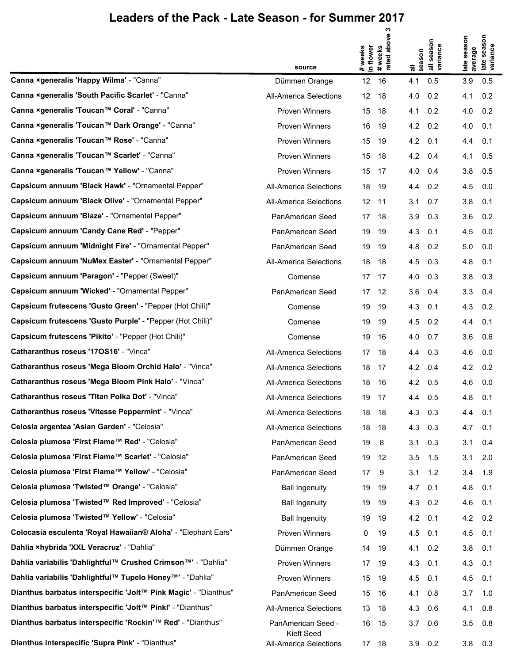|                                                                 | source                           | in flower<br># weeks | ო<br>above<br># weeks<br>rated abo | season<br>゠    | all season<br>variance | season<br>average<br>late | season<br>late seas<br>variance |
|-----------------------------------------------------------------|----------------------------------|----------------------|------------------------------------|----------------|------------------------|---------------------------|---------------------------------|
| Canna ×generalis 'Happy Wilma' - "Canna"                        | Dümmen Orange                    | 12                   | 16                                 | 4.1            | 0.5                    | 3.9                       | 0.5                             |
| Canna ×generalis 'South Pacific Scarlet' - "Canna"              | All-America Selections           | 12 <sup>°</sup>      | 18                                 | 4.0            | 0.2                    | 4.1                       | 0.2                             |
| Canna ×generalis 'Toucan™ Coral' - "Canna"                      | <b>Proven Winners</b>            | 15                   | 18                                 | 4.1            | 0.2                    | 4.0                       | 0.2                             |
| Canna ×generalis 'Toucan™ Dark Orange' - "Canna"                | <b>Proven Winners</b>            | 16                   | 19                                 | 4.2            | 0.2                    | 4.0                       | 0.1                             |
| Canna ×generalis 'Toucan™ Rose' - "Canna"                       | <b>Proven Winners</b>            | 15                   | 19                                 | 4.2            | 0.1                    | 4.4                       | 0.1                             |
| Canna ×generalis 'Toucan™ Scarlet' - "Canna"                    | <b>Proven Winners</b>            | 15                   | 18                                 | 4.2            | 0.4                    | 4.1                       | 0.5                             |
| Canna ×generalis 'Toucan™ Yellow' - "Canna"                     | <b>Proven Winners</b>            | 15                   | 17                                 | 4.0            | 0.4                    | 3.8                       | 0.5                             |
| Capsicum annuum 'Black Hawk' - "Ornamental Pepper"              | All-America Selections           | 18                   | 19                                 | 4.4            | 0.2                    | 4.5                       | 0.0                             |
| Capsicum annuum 'Black Olive' - "Ornamental Pepper"             | All-America Selections           | 12 <sup>°</sup>      | 11                                 | 3.1            | 0.7                    | 3.8                       | 0.1                             |
| Capsicum annuum 'Blaze' - "Ornamental Pepper"                   | PanAmerican Seed                 | 17                   | 18                                 | 3.9            | 0.3                    | 3.6                       | 0.2                             |
| Capsicum annuum 'Candy Cane Red' - "Pepper"                     | PanAmerican Seed                 | 19                   | 19                                 | 4.3            | 0.1                    | 4.5                       | 0.0                             |
| Capsicum annuum 'Midnight Fire' - "Ornamental Pepper"           | PanAmerican Seed                 | 19                   | 19                                 | 4.8            | 0.2                    | 5.0                       | 0.0                             |
| Capsicum annuum 'NuMex Easter' - "Ornamental Pepper"            | All-America Selections           | 18                   | 18                                 | 4.5            | 0.3                    | 4.8                       | 0.1                             |
| Capsicum annuum 'Paragon' - "Pepper (Sweet)"                    | Comense                          | 17                   | 17                                 | 4.0            | 0.3                    | 3.8                       | 0.3                             |
| Capsicum annuum 'Wicked' - "Ornamental Pepper"                  | PanAmerican Seed                 | 17                   | 12                                 | 3.6            | 0.4                    | 3.3                       | 0.4                             |
| Capsicum frutescens 'Gusto Green' - "Pepper (Hot Chili)"        | Comense                          | 19                   | 19                                 | 4.3            | 0.1                    | 4.3                       | 0.2                             |
| Capsicum frutescens 'Gusto Purple' - "Pepper (Hot Chili)"       | Comense                          | 19                   | 19                                 | 4.5            | 0.2                    | 4.4                       | 0.1                             |
| Capsicum frutescens 'Pikito' - "Pepper (Hot Chili)"             | Comense                          | 19                   | 16                                 | 4.0            | 0.7                    | 3.6                       | 0.6                             |
| Catharanthus roseus '170S16' - "Vinca"                          | All-America Selections           | 17                   | 18                                 | 4.4            | 0.3                    | 4.6                       | 0.0                             |
| Catharanthus roseus 'Mega Bloom Orchid Halo' - "Vinca"          | All-America Selections           | 18                   | 17                                 | 4.2            | 0.4                    | 4.2                       | 0.2                             |
| Catharanthus roseus 'Mega Bloom Pink Halo' - "Vinca"            | <b>All-America Selections</b>    | 18                   | 16                                 | 4.2            | 0.5                    | 4.6                       | 0.0                             |
| Catharanthus roseus 'Titan Polka Dot' - "Vinca"                 | <b>All-America Selections</b>    | 19                   | 17                                 | 4.4            | 0.5                    | 4.8                       | 0.1                             |
| Catharanthus roseus 'Vitesse Peppermint' - "Vinca"              | All-America Selections           |                      | 18 18                              | 4.3            | 0.3                    | 4.4                       | 0.1                             |
| Celosia argentea 'Asian Garden' - "Celosia"                     | All-America Selections           | 18                   | 18                                 | 4.3            | 0.3                    | 4.7                       | 0.1                             |
| Celosia plumosa 'First Flame™ Red' - "Celosia"                  | PanAmerican Seed                 | 19                   | 8                                  | 3.1            | 0.3                    | 3.1                       | 0.4                             |
| Celosia plumosa 'First Flame™ Scarlet' - "Celosia"              | PanAmerican Seed                 | 19                   | 12                                 | 3.5            | 1.5                    | 3.1                       | 2.0                             |
| Celosia plumosa 'First Flame™ Yellow' - "Celosia"               | PanAmerican Seed                 | 17                   | 9                                  | 3.1            | 1.2                    | 3.4                       | 1.9                             |
| Celosia plumosa 'Twisted™ Orange' - "Celosia"                   | <b>Ball Ingenuity</b>            | 19                   | 19                                 | 4.7            | 0.1                    | 4.8                       | 0.1                             |
| Celosia plumosa 'Twisted™ Red Improved' - "Celosia"             | <b>Ball Ingenuity</b>            | 19                   | 19                                 | 4.3 0.2        |                        | 4.6                       | 0.1                             |
| Celosia plumosa 'Twisted™ Yellow' - "Celosia"                   | <b>Ball Ingenuity</b>            | 19                   | 19                                 | 4.2            | 0.1                    | 4.2                       | 0.2                             |
| Colocasia esculenta 'Royal Hawaiian® Aloha' - "Elephant Ears"   | <b>Proven Winners</b>            | 0                    | 19                                 | 4.5 0.1        |                        | 4.5                       | 0.1                             |
| Dahlia ×hybrida 'XXL Veracruz' - "Dahlia"                       | Dümmen Orange                    | 14                   | 19                                 | 4.1            | 0.2                    | 3.8                       | 0.1                             |
| Dahlia variabilis 'Dahlightful™ Crushed Crimson™' - "Dahlia"    | <b>Proven Winners</b>            | 17 19                |                                    | $4.3$ 0.1      |                        | 4.3                       | 0.1                             |
| Dahlia variabilis 'Dahlightful™ Tupelo Honey™' - "Dahlia"       | Proven Winners                   | 15                   | 19                                 | 4.5            | 0.1                    | 4.5                       | 0.1                             |
| Dianthus barbatus interspecific 'Jolt™ Pink Magic' - "Dianthus" | PanAmerican Seed                 | 15 16                |                                    | 4.1 0.8        |                        | 3.7                       | 1.0                             |
| Dianthus barbatus interspecific 'Jolt™ Pinkl' - "Dianthus"      | All-America Selections           | 13                   | 18                                 | 4.3            | 0.6                    | 4.1                       | 0.8                             |
| Dianthus barbatus interspecific 'Rockin'™ Red' - "Dianthus"     | PanAmerican Seed -<br>Kieft Seed | 16                   | 15                                 | $3.7\quad 0.6$ |                        | 3.5                       | 0.8                             |
| Dianthus interspecific 'Supra Pink' - "Dianthus"                | All-America Selections           | 17 18                |                                    | $3.9$ 0.2      |                        |                           | $3.8\quad 0.3$                  |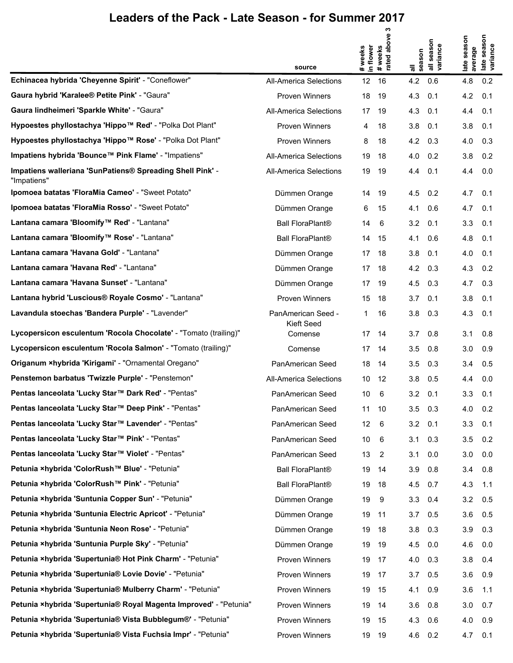|                                                                          | source                           | in flower<br># weeks | ო<br>above<br># weeks<br>rated abo | season<br>등 | all season<br>variance | season<br>average<br>late | season<br>late seas<br>variance |
|--------------------------------------------------------------------------|----------------------------------|----------------------|------------------------------------|-------------|------------------------|---------------------------|---------------------------------|
| Echinacea hybrida 'Cheyenne Spirit' - "Coneflower"                       | <b>All-America Selections</b>    | 12                   | 16                                 | 4.2         | 0.6                    | 4.8                       | 0.2                             |
| Gaura hybrid 'Karalee® Petite Pink' - "Gaura"                            | Proven Winners                   | 18                   | 19                                 | 4.3         | 0.1                    | 4.2                       | 0.1                             |
| Gaura lindheimeri 'Sparkle White' - "Gaura"                              | <b>All-America Selections</b>    | 17                   | 19                                 | 4.3         | 0.1                    | 4.4                       | 0.1                             |
| Hypoestes phyllostachya 'Hippo™ Red' - "Polka Dot Plant"                 | Proven Winners                   | 4                    | 18                                 | 3.8         | 0.1                    | 3.8                       | 0.1                             |
| Hypoestes phyllostachya 'Hippo™ Rose' - "Polka Dot Plant"                | Proven Winners                   | 8                    | 18                                 | 4.2         | 0.3                    | 4.0                       | 0.3                             |
| Impatiens hybrida 'Bounce™ Pink Flame' - "Impatiens"                     | All-America Selections           | 19                   | 18                                 | 4.0         | 0.2                    | 3.8                       | 0.2                             |
| Impatiens walleriana 'SunPatiens® Spreading Shell Pink' -<br>"Impatiens" | All-America Selections           | 19                   | 19                                 | 4.4         | 0.1                    | 4.4                       | 0.0                             |
| Ipomoea batatas 'FloraMia Cameo' - "Sweet Potato"                        | Dümmen Orange                    | 14                   | 19                                 | 4.5         | 0.2                    | 4.7                       | 0.1                             |
| Ipomoea batatas 'FloraMia Rosso' - "Sweet Potato"                        | Dümmen Orange                    | 6                    | 15                                 | 4.1         | 0.6                    | 4.7                       | 0.1                             |
| Lantana camara 'Bloomify™ Red' - "Lantana"                               | <b>Ball FloraPlant®</b>          | 14                   | 6                                  | 3.2         | 0.1                    | 3.3                       | 0.1                             |
| Lantana camara 'Bloomify™ Rose' - "Lantana"                              | <b>Ball FloraPlant®</b>          | 14                   | 15                                 | 4.1         | 0.6                    | 4.8                       | 0.1                             |
| Lantana camara 'Havana Gold' - "Lantana"                                 | Dümmen Orange                    | 17                   | 18                                 | 3.8         | 0.1                    | 4.0                       | 0.1                             |
| Lantana camara 'Havana Red' - "Lantana"                                  | Dümmen Orange                    | 17                   | 18                                 | 4.2         | 0.3                    | 4.3                       | 0.2                             |
| Lantana camara 'Havana Sunset' - "Lantana"                               | Dümmen Orange                    | 17                   | 19                                 | 4.5         | 0.3                    | 4.7                       | 0.3                             |
| Lantana hybrid 'Luscious® Royale Cosmo' - "Lantana"                      | <b>Proven Winners</b>            | 15                   | 18                                 | 3.7         | 0.1                    | 3.8                       | 0.1                             |
| Lavandula stoechas 'Bandera Purple' - "Lavender"                         | PanAmerican Seed -<br>Kieft Seed | 1                    | 16                                 | 3.8         | 0.3                    | 4.3                       | 0.1                             |
| Lycopersicon esculentum 'Rocola Chocolate' - "Tomato (trailing)"         | Comense                          | 17                   | 14                                 | 3.7         | 0.8                    | 3.1                       | 0.8                             |
| Lycopersicon esculentum 'Rocola Salmon' - "Tomato (trailing)"            | Comense                          | 17                   | 14                                 | 3.5         | 0.8                    | 3.0                       | 0.9                             |
| Origanum ×hybrida 'Kirigami' - "Ornamental Oregano"                      | PanAmerican Seed                 | 18                   | 14                                 | 3.5         | 0.3                    | 3.4                       | 0.5                             |
| Penstemon barbatus 'Twizzle Purple' - "Penstemon"                        | <b>All-America Selections</b>    | 10                   | 12                                 | 3.8         | 0.5                    | 4.4                       | 0.0                             |
| Pentas lanceolata 'Lucky Star™ Dark Red' - "Pentas"                      | PanAmerican Seed                 | 10                   | 6                                  | 3.2         | 0.1                    | 3.3                       | 0.1                             |
| Pentas lanceolata 'Lucky Star™ Deep Pink' - "Pentas"                     | PanAmerican Seed                 | 11                   | 10                                 | 3.5         | 0.3                    | 4.0                       | 0.2                             |
| Pentas lanceolata 'Lucky Star™ Lavender' - "Pentas"                      | PanAmerican Seed                 | 12                   | 6                                  | 3.2         | 0.1                    | 3.3                       | 0.1                             |
| Pentas lanceolata 'Lucky Star™ Pink' - "Pentas"                          | PanAmerican Seed                 | 10                   | 6                                  | 3.1         | 0.3                    | 3.5                       | 0.2                             |
| Pentas lanceolata 'Lucky Star™ Violet' - "Pentas"                        | PanAmerican Seed                 | 13                   | 2                                  | 3.1         | 0.0                    | 3.0                       | 0.0                             |
| Petunia ×hybrida 'ColorRush™ Blue' - "Petunia"                           | <b>Ball FloraPlant®</b>          | 19                   | 14                                 | 3.9         | 0.8                    | 3.4                       | 0.8                             |
| Petunia ×hybrida 'ColorRush™ Pink' - "Petunia"                           | <b>Ball FloraPlant®</b>          | 19                   | 18                                 | 4.5         | 0.7                    | 4.3                       | 1.1                             |
| Petunia ×hybrida 'Suntunia Copper Sun' - "Petunia"                       | Dümmen Orange                    | 19                   | 9                                  | 3.3         | 0.4                    | 3.2                       | 0.5                             |
| Petunia ×hybrida 'Suntunia Electric Apricot' - "Petunia"                 | Dümmen Orange                    | 19                   | 11                                 | 3.7         | 0.5                    | 3.6                       | 0.5                             |
| Petunia ×hybrida 'Suntunia Neon Rose' - "Petunia"                        | Dümmen Orange                    | 19                   | 18                                 | 3.8         | 0.3                    | 3.9                       | 0.3                             |
| Petunia ×hybrida 'Suntunia Purple Sky' - "Petunia"                       | Dümmen Orange                    | 19                   | 19                                 | 4.5         | 0.0                    | 4.6                       | 0.0                             |
| Petunia ×hybrida 'Supertunia® Hot Pink Charm' - "Petunia"                | Proven Winners                   | 19                   | 17                                 | 4.0         | 0.3                    | 3.8                       | 0.4                             |
| Petunia ×hybrida 'Supertunia® Lovie Dovie' - "Petunia"                   | Proven Winners                   | 19                   | 17                                 | 3.7         | 0.5                    | 3.6                       | 0.9                             |
| Petunia ×hybrida 'Supertunia® Mulberry Charm' - "Petunia"                | Proven Winners                   | 19                   | 15                                 | 4.1         | 0.9                    | 3.6                       | 1.1                             |
| Petunia ×hybrida 'Supertunia® Royal Magenta Improved' - "Petunia"        | Proven Winners                   | 19                   | 14                                 | 3.6         | 0.8                    | 3.0                       | 0.7                             |
| Petunia ×hybrida 'Supertunia® Vista Bubblegum®' - "Petunia"              | <b>Proven Winners</b>            | 19                   | 15                                 | 4.3         | 0.6                    | 4.0                       | 0.9                             |
| Petunia ×hybrida 'Supertunia® Vista Fuchsia Impr' - "Petunia"            | Proven Winners                   | 19                   | 19                                 | 4.6         | 0.2                    | 4.7                       | 0.1                             |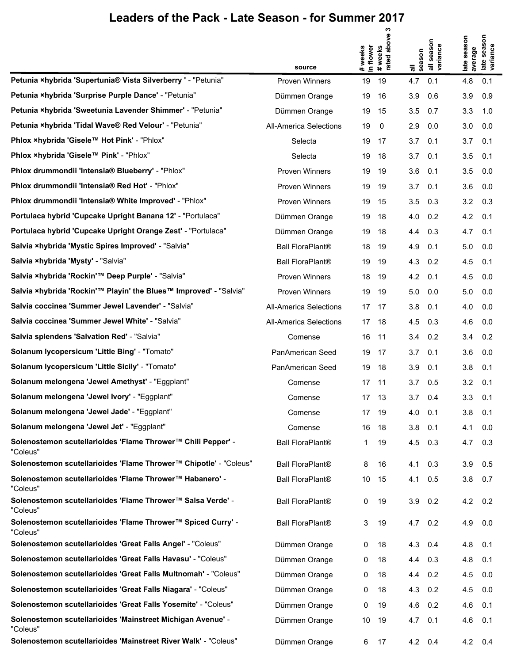|                                                                          |                               |                      | ო                |                 |                    |                 |                    |
|--------------------------------------------------------------------------|-------------------------------|----------------------|------------------|-----------------|--------------------|-----------------|--------------------|
|                                                                          |                               | in flower<br># weeks | above<br># weeks |                 | season<br>variance | season          | season<br>variance |
|                                                                          | source                        |                      | rated            | season<br>゠     |                    | average<br>late | late               |
| Petunia ×hybrida 'Supertunia® Vista Silverberry ' - "Petunia"            | <b>Proven Winners</b>         | 19                   | 19               | 4.7             | 0.1                | 4.8             | 0.1                |
| Petunia ×hybrida 'Surprise Purple Dance' - "Petunia"                     | Dümmen Orange                 | 19                   | 16               | 3.9             | 0.6                | 3.9             | 0.9                |
| Petunia ×hybrida 'Sweetunia Lavender Shimmer' - "Petunia"                | Dümmen Orange                 | 19                   | 15               | 3.5             | 0.7                | 3.3             | 1.0                |
| Petunia ×hybrida 'Tidal Wave® Red Velour' - "Petunia"                    | All-America Selections        | 19                   | 0                | 2.9             | 0.0                | 3.0             | 0.0                |
| Phlox ×hybrida 'Gisele™ Hot Pink' - "Phlox"                              | Selecta                       | 19                   | 17               | 3.7             | 0.1                | 3.7             | 0.1                |
| Phlox ×hybrida 'Gisele™ Pink' - "Phlox"                                  | Selecta                       | 19                   | 18               | 3.7             | 0.1                | 3.5             | 0.1                |
| Phlox drummondii 'Intensia® Blueberry' - "Phlox"                         | <b>Proven Winners</b>         | 19                   | 19               | 3.6             | 0.1                | 3.5             | 0.0                |
| Phlox drummondii 'Intensia® Red Hot' - "Phlox"                           | <b>Proven Winners</b>         | 19                   | 19               | 3.7             | 0.1                | 3.6             | 0.0                |
| Phlox drummondii 'Intensia® White Improved' - "Phlox"                    | <b>Proven Winners</b>         | 19                   | 15               | 3.5             | 0.3                | 3.2             | 0.3                |
| Portulaca hybrid 'Cupcake Upright Banana 12' - "Portulaca"               | Dümmen Orange                 | 19                   | 18               | 4.0             | 0.2                | 4.2             | 0.1                |
| Portulaca hybrid 'Cupcake Upright Orange Zest' - "Portulaca"             | Dümmen Orange                 | 19                   | 18               | 4.4             | 0.3                | 4.7             | 0.1                |
| Salvia ×hybrida 'Mystic Spires Improved' - "Salvia"                      | <b>Ball FloraPlant®</b>       | 18                   | 19               | 4.9             | 0.1                | 5.0             | 0.0                |
| Salvia xhybrida 'Mysty' - "Salvia"                                       | <b>Ball FloraPlant®</b>       | 19                   | 19               | 4.3             | 0.2                | 4.5             | 0.1                |
| Salvia ×hybrida 'Rockin'™ Deep Purple' - "Salvia"                        | <b>Proven Winners</b>         | 18                   | 19               | 4.2             | 0.1                | 4.5             | 0.0                |
| Salvia ×hybrida 'Rockin'™ Playin' the Blues™ Improved' - "Salvia"        | <b>Proven Winners</b>         | 19                   | 19               | 5.0             | 0.0                | 5.0             | 0.0                |
| Salvia coccinea 'Summer Jewel Lavender' - "Salvia"                       | <b>All-America Selections</b> |                      | 17 17            | 3.8             | 0.1                | 4.0             | 0.0                |
| Salvia coccinea 'Summer Jewel White' - "Salvia"                          | <b>All-America Selections</b> | 17                   | 18               | 4.5             | 0.3                | 4.6             | 0.0                |
| Salvia splendens 'Salvation Red' - "Salvia"                              | Comense                       | 16                   | 11               | 3.4             | 0.2                | 3.4             | 0.2                |
| Solanum lycopersicum 'Little Bing' - "Tomato"                            | PanAmerican Seed              | 19                   | 17               | 3.7             | 0.1                | 3.6             | 0.0                |
| Solanum lycopersicum 'Little Sicily' - "Tomato"                          | PanAmerican Seed              | 19                   | 18               | 3.9             | 0.1                | 3.8             | 0.1                |
| Solanum melongena 'Jewel Amethyst' - "Eggplant"                          | Comense                       | 17                   | -11              | 3.7             | 0.5                | 3.2             | 0.1                |
| Solanum melongena 'Jewel Ivory' - "Eggplant"                             | Comense                       |                      | 17 13            | 3.7             | 0.4                | 3.3             | 0.1                |
| Solanum melongena 'Jewel Jade' - "Eggplant"                              | Comense                       |                      | 17 19            | 4.0             | 0.1                | 3.8             | 0.1                |
| Solanum melongena 'Jewel Jet' - "Eggplant"                               | Comense                       | 16                   | 18               | 3.8             | 0.1                | 4.1             | 0.0                |
| Solenostemon scutellarioides 'Flame Thrower™ Chili Pepper' -<br>"Coleus" | <b>Ball FloraPlant®</b>       | 1                    | 19               | 4.5             | 0.3                | 4.7             | 0.3                |
| Solenostemon scutellarioides 'Flame Thrower™ Chipotle' - "Coleus"        | <b>Ball FloraPlant®</b>       | 8                    | 16               | 4.1             | 0.3                | 3.9             | 0.5                |
| Solenostemon scutellarioides 'Flame Thrower™ Habanero' -<br>"Coleus"     | <b>Ball FloraPlant®</b>       | 10                   | 15               | 4.1             | 0.5                | 3.8             | 0.7                |
| Solenostemon scutellarioides 'Flame Thrower™ Salsa Verde' -<br>"Coleus"  | <b>Ball FloraPlant®</b>       | 0                    | 19               | 3.9             | 0.2                | 4.2             | 0.2                |
| Solenostemon scutellarioides 'Flame Thrower™ Spiced Curry' -<br>"Coleus" | <b>Ball FloraPlant®</b>       | 3                    | 19               | $4.7 \quad 0.2$ |                    | 4.9             | 0.0                |
| Solenostemon scutellarioides 'Great Falls Angel' - "Coleus"              | Dümmen Orange                 | 0                    | 18               | 4.3             | 0.4                | 4.8             | 0.1                |
| Solenostemon scutellarioides 'Great Falls Havasu' - "Coleus"             | Dümmen Orange                 | 0                    | 18               | 4.4             | 0.3                | 4.8             | 0.1                |
| Solenostemon scutellarioides 'Great Falls Multnomah' - "Coleus"          | Dümmen Orange                 | 0                    | 18               | 4.4             | 0.2                | 4.5             | 0.0                |
| Solenostemon scutellarioides 'Great Falls Niagara' - "Coleus"            | Dümmen Orange                 | 0                    | 18               | 4.3             | 0.2                | 4.5             | 0.0                |
| Solenostemon scutellarioides 'Great Falls Yosemite' - "Coleus"           | Dümmen Orange                 | 0                    | 19               | 4.6             | 0.2                | 4.6             | 0.1                |
| Solenostemon scutellarioides 'Mainstreet Michigan Avenue' -<br>"Coleus"  | Dümmen Orange                 | 10                   | 19               | 4.7             | 0.1                | 4.6             | 0.1                |
| Solenostemon scutellarioides 'Mainstreet River Walk' - "Coleus"          | Dümmen Orange                 | 6                    | 17               | 4.2 0.4         |                    | $4.2 \quad 0.4$ |                    |